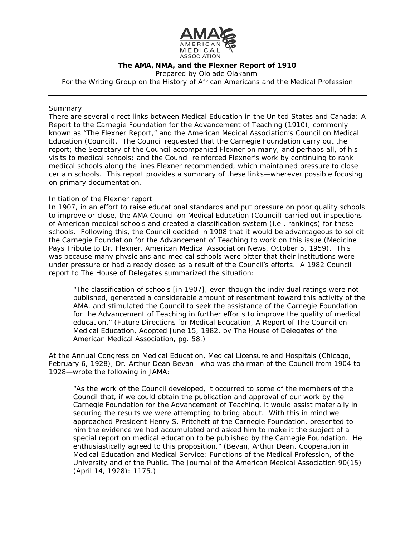

### **The AMA, NMA, and the Flexner Report of 1910**

Prepared by Ololade Olakanmi

For the Writing Group on the History of African Americans and the Medical Profession

# *Summary*

There are several direct links between *Medical Education in the United States and Canada: A Report to the Carnegie Foundation for the Advancement of Teaching* (1910), commonly known as "The Flexner Report," and the American Medical Association's Council on Medical Education (Council). The Council requested that the Carnegie Foundation carry out the report; the Secretary of the Council accompanied Flexner on many, and perhaps all, of his visits to medical schools; and the Council reinforced Flexner's work by continuing to rank medical schools along the lines Flexner recommended, which maintained pressure to close certain schools. This report provides a summary of these links—wherever possible focusing on primary documentation.

# *Initiation of the Flexner report*

In 1907, in an effort to raise educational standards and put pressure on poor quality schools to improve or close, the AMA Council on Medical Education (Council) carried out inspections of American medical schools and created a classification system (i.e., rankings) for these schools. Following this, the Council decided in 1908 that it would be advantageous to solicit the Carnegie Foundation for the Advancement of Teaching to work on this issue (Medicine Pays Tribute to Dr. Flexner. *American Medical Association News*, October 5, 1959). This was because many physicians and medical schools were bitter that their institutions were under pressure or had already closed as a result of the Council's efforts. A 1982 Council report to The House of Delegates summarized the situation:

"The classification of schools [in 1907], even though the individual ratings were not published, generated a considerable amount of resentment toward this activity of the AMA, and stimulated the Council to seek the assistance of the Carnegie Foundation for the Advancement of Teaching in further efforts to improve the quality of medical education." (*Future Directions for Medical Education*, A Report of The Council on Medical Education, Adopted June 15, 1982, by The House of Delegates of the American Medical Association, pg. 58.)

At the Annual Congress on Medical Education, Medical Licensure and Hospitals (Chicago, February 6, 1928), Dr. Arthur Dean Bevan—who was chairman of the Council from 1904 to 1928—wrote the following in JAMA:

"As the work of the Council developed, it occurred to some of the members of the Council that, if we could obtain the publication and approval of our work by the Carnegie Foundation for the Advancement of Teaching, it would assist materially in securing the results we were attempting to bring about. With this in mind we approached President Henry S. Pritchett of the Carnegie Foundation, presented to him the evidence we had accumulated and asked him to make it the subject of a special report on medical education to be published by the Carnegie Foundation. He enthusiastically agreed to this proposition." (Bevan, Arthur Dean. Cooperation in Medical Education and Medical Service: Functions of the Medical Profession, of the University and of the Public. *The Journal of the American Medical Association* 90(15) (April 14, 1928): 1175.)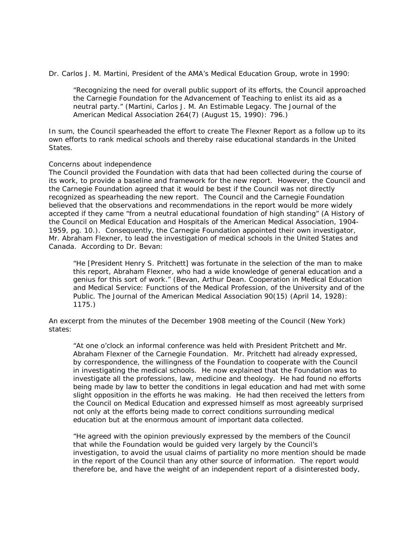Dr. Carlos J. M. Martini, President of the AMA's Medical Education Group, wrote in 1990:

"Recognizing the need for overall public support of its efforts, the Council approached the Carnegie Foundation for the Advancement of Teaching to enlist its aid as a neutral party." (Martini, Carlos J. M. An Estimable Legacy. *The Journal of the American Medical Association* 264(7) (August 15, 1990): 796.)

In sum, the Council spearheaded the effort to create The Flexner Report as a follow up to its own efforts to rank medical schools and thereby raise educational standards in the United States.

#### *Concerns about independence*

The Council provided the Foundation with data that had been collected during the course of its work, to provide a baseline and framework for the new report. However, the Council and the Carnegie Foundation agreed that it would be best if the Council was not directly recognized as spearheading the new report. The Council and the Carnegie Foundation believed that the observations and recommendations in the report would be more widely accepted if they came "from a neutral educational foundation of high standing" (*A History of the Council on Medical Education and Hospitals of the American Medical Association, 1904- 1959*, pg. 10.). Consequently, the Carnegie Foundation appointed their own investigator, Mr. Abraham Flexner, to lead the investigation of medical schools in the United States and Canada. According to Dr. Bevan:

"He [President Henry S. Pritchett] was fortunate in the selection of the man to make this report, Abraham Flexner, who had a wide knowledge of general education and a genius for this sort of work." (Bevan, Arthur Dean. Cooperation in Medical Education and Medical Service: Functions of the Medical Profession, of the University and of the Public. *The Journal of the American Medical Association* 90(15) (April 14, 1928): 1175.)

An excerpt from the minutes of the December 1908 meeting of the Council (New York) states:

"At one o'clock an informal conference was held with President Pritchett and Mr. Abraham Flexner of the Carnegie Foundation. Mr. Pritchett had already expressed, by correspondence, the willingness of the Foundation to cooperate with the Council in investigating the medical schools. He now explained that the Foundation was to investigate all the professions, law, medicine and theology. He had found no efforts being made by law to better the conditions in legal education and had met with some slight opposition in the efforts he was making. He had then received the letters from the Council on Medical Education and expressed himself as most agreeably surprised not only at the efforts being made to correct conditions surrounding medical education but at the enormous amount of important data collected.

"He agreed with the opinion previously expressed by the members of the Council that while the Foundation would be guided very largely by the Council's investigation, to avoid the usual claims of partiality no more mention should be made in the report of the Council than any other source of information. The report would therefore be, and have the weight of an independent report of a disinterested body,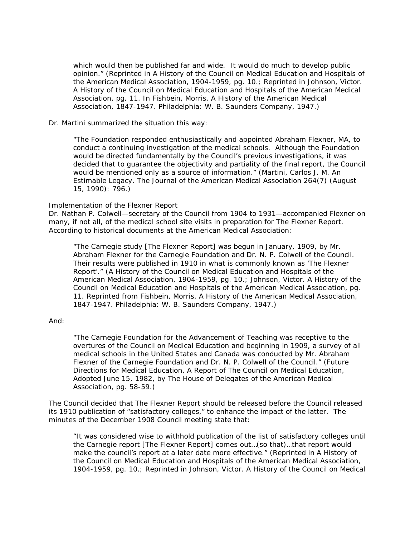which would then be published far and wide. It would do much to develop public opinion." (Reprinted in *A History of the Council on Medical Education and Hospitals of the American Medical Association, 1904-1959*, pg. 10.; Reprinted in Johnson, Victor. *A History of the Council on Medical Education and Hospitals of the American Medical Association,* pg. 11. In Fishbein, Morris. *A History of the American Medical Association, 1847-1947*. Philadelphia: W. B. Saunders Company, 1947.)

### Dr. Martini summarized the situation this way:

"The Foundation responded enthusiastically and appointed Abraham Flexner, MA, to conduct a continuing investigation of the medical schools. Although the Foundation would be directed fundamentally by the Council's previous investigations, it was decided that to guarantee the objectivity and partiality of the final report, the Council would be mentioned only as a source of information." (Martini, Carlos J. M. An Estimable Legacy. *The Journal of the American Medical Association* 264(7) (August 15, 1990): 796.)

# *Implementation of the Flexner Report*

Dr. Nathan P. Colwell—secretary of the Council from 1904 to 1931—accompanied Flexner on many, if not all, of the medical school site visits in preparation for The Flexner Report. According to historical documents at the American Medical Association:

"The Carnegie study [The Flexner Report] was begun in January, 1909, by Mr. Abraham Flexner for the Carnegie Foundation and Dr. N. P. Colwell of the Council. Their results were published in 1910 in what is commonly known as 'The Flexner Report'." (*A History of the Council on Medical Education and Hospitals of the American Medical Association, 1904-1959*, pg. 10.; Johnson, Victor. *A History of the Council on Medical Education and Hospitals of the American Medical Association,* pg. 11. Reprinted from Fishbein, Morris. *A History of the American Medical Association, 1847-1947*. Philadelphia: W. B. Saunders Company, 1947.)

# And:

"The Carnegie Foundation for the Advancement of Teaching was receptive to the overtures of the Council on Medical Education and beginning in 1909, a survey of all medical schools in the United States and Canada was conducted by Mr. Abraham Flexner of the Carnegie Foundation and Dr. N. P. Colwell of the Council." (*Future Directions for Medical Education*, A Report of The Council on Medical Education, Adopted June 15, 1982, by The House of Delegates of the American Medical Association, pg. 58-59.)

The Council decided that The Flexner Report should be released before the Council released its 1910 publication of "satisfactory colleges," to enhance the impact of the latter. The minutes of the December 1908 Council meeting state that:

"It was considered wise to withhold publication of the list of satisfactory colleges until the Carnegie report [The Flexner Report] comes out…(so that)…that report would make the council's report at a later date more effective." (Reprinted in *A History of the Council on Medical Education and Hospitals of the American Medical Association, 1904-1959*, pg. 10.; Reprinted in Johnson, Victor. *A History of the Council on Medical*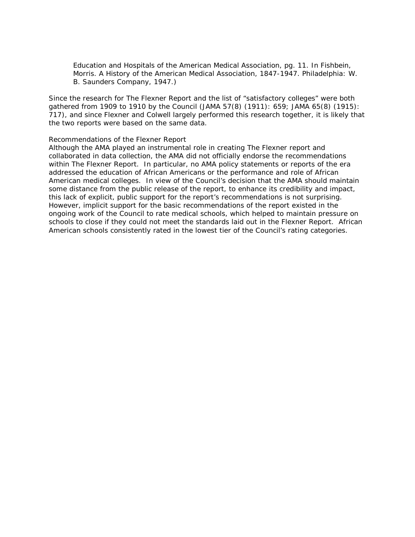*Education and Hospitals of the American Medical Association,* pg. 11. In Fishbein, Morris. *A History of the American Medical Association, 1847-1947*. Philadelphia: W. B. Saunders Company, 1947.)

Since the research for The Flexner Report and the list of "satisfactory colleges" were both gathered from 1909 to 1910 by the Council (*JAMA* 57(8) (1911): 659; *JAMA* 65(8) (1915): 717), and since Flexner and Colwell largely performed this research together, it is likely that the two reports were based on the same data.

#### *Recommendations of the Flexner Report*

Although the AMA played an instrumental role in creating The Flexner report and collaborated in data collection, the AMA did not officially endorse the recommendations within The Flexner Report. In particular, no AMA policy statements or reports of the era addressed the education of African Americans or the performance and role of African American medical colleges. In view of the Council's decision that the AMA should maintain some distance from the public release of the report, to enhance its credibility and impact, this lack of explicit, public support for the report's recommendations is not surprising. However, implicit support for the basic recommendations of the report existed in the ongoing work of the Council to rate medical schools, which helped to maintain pressure on schools to close if they could not meet the standards laid out in the Flexner Report. African American schools consistently rated in the lowest tier of the Council's rating categories.